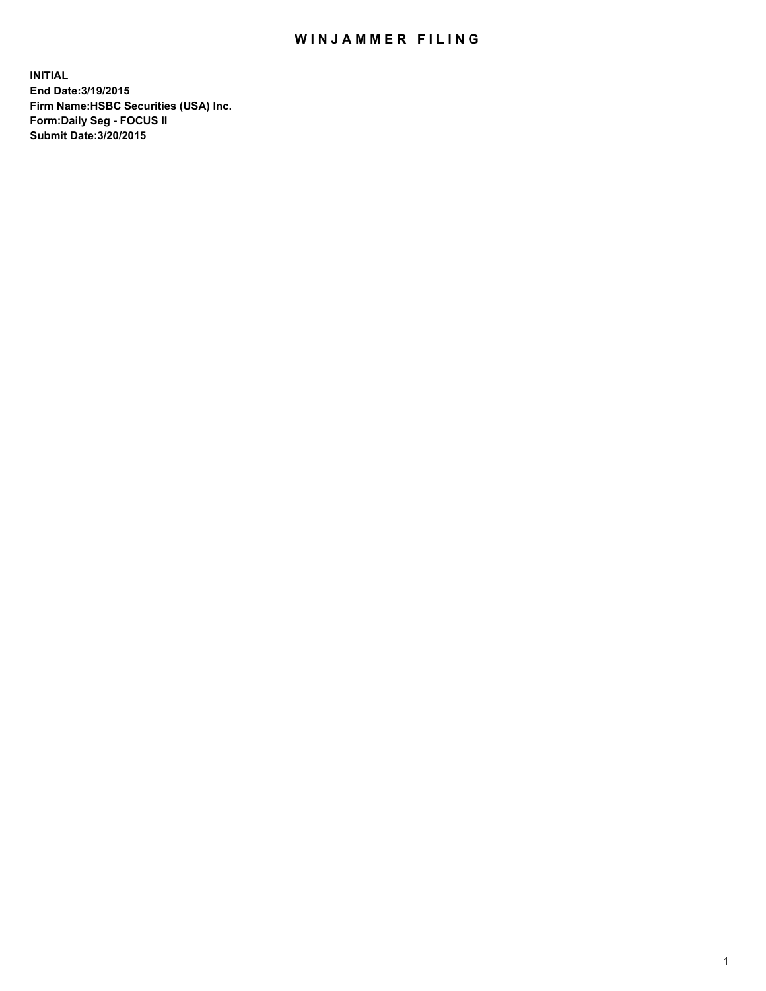## WIN JAMMER FILING

**INITIAL End Date:3/19/2015 Firm Name:HSBC Securities (USA) Inc. Form:Daily Seg - FOCUS II Submit Date:3/20/2015**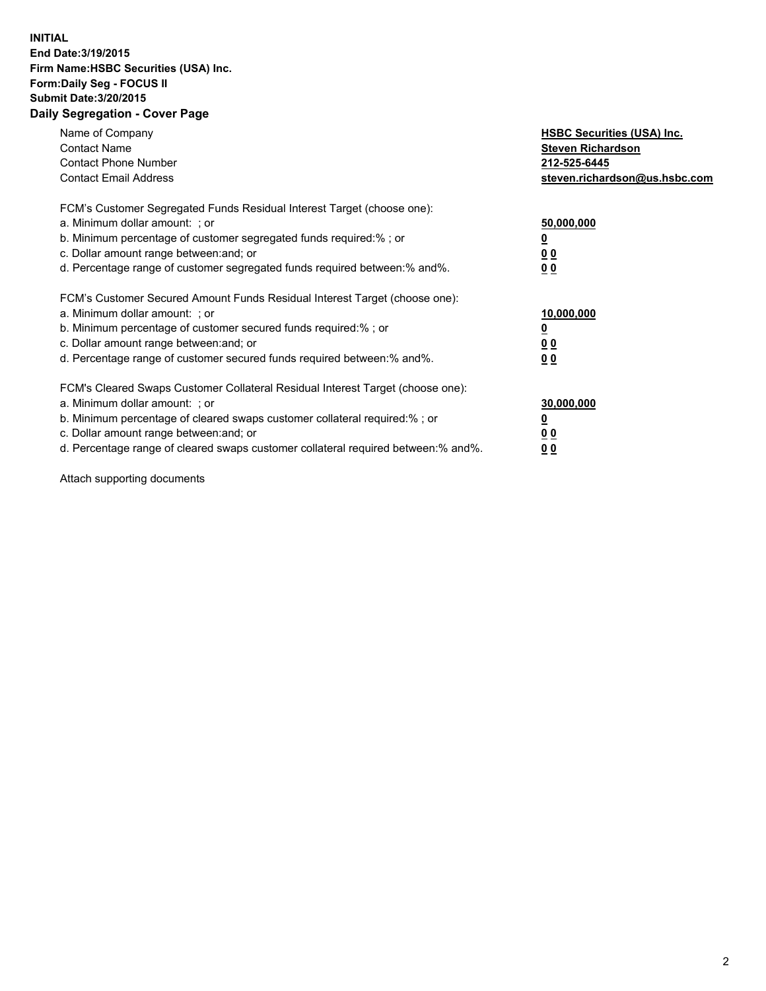## **INITIAL End Date:3/19/2015 Firm Name:HSBC Securities (USA) Inc. Form:Daily Seg - FOCUS II Submit Date:3/20/2015 Daily Segregation - Cover Page**

| Name of Company<br><b>Contact Name</b><br><b>Contact Phone Number</b><br><b>Contact Email Address</b>                                                                                                                                                                                                                          | <b>HSBC Securities (USA) Inc.</b><br><b>Steven Richardson</b><br>212-525-6445<br>steven.richardson@us.hsbc.com |
|--------------------------------------------------------------------------------------------------------------------------------------------------------------------------------------------------------------------------------------------------------------------------------------------------------------------------------|----------------------------------------------------------------------------------------------------------------|
| FCM's Customer Segregated Funds Residual Interest Target (choose one):<br>a. Minimum dollar amount: ; or<br>b. Minimum percentage of customer segregated funds required:%; or<br>c. Dollar amount range between: and; or<br>d. Percentage range of customer segregated funds required between: % and %.                        | 50,000,000<br>0 <sub>0</sub><br>0 <sub>0</sub>                                                                 |
| FCM's Customer Secured Amount Funds Residual Interest Target (choose one):<br>a. Minimum dollar amount: ; or<br>b. Minimum percentage of customer secured funds required:%; or<br>c. Dollar amount range between: and; or<br>d. Percentage range of customer secured funds required between:% and%.                            | 10,000,000<br><u>0</u><br>0 <sub>0</sub><br>0 <sub>0</sub>                                                     |
| FCM's Cleared Swaps Customer Collateral Residual Interest Target (choose one):<br>a. Minimum dollar amount: ; or<br>b. Minimum percentage of cleared swaps customer collateral required:% ; or<br>c. Dollar amount range between: and; or<br>d. Percentage range of cleared swaps customer collateral required between:% and%. | 30,000,000<br>00<br><u>00</u>                                                                                  |

Attach supporting documents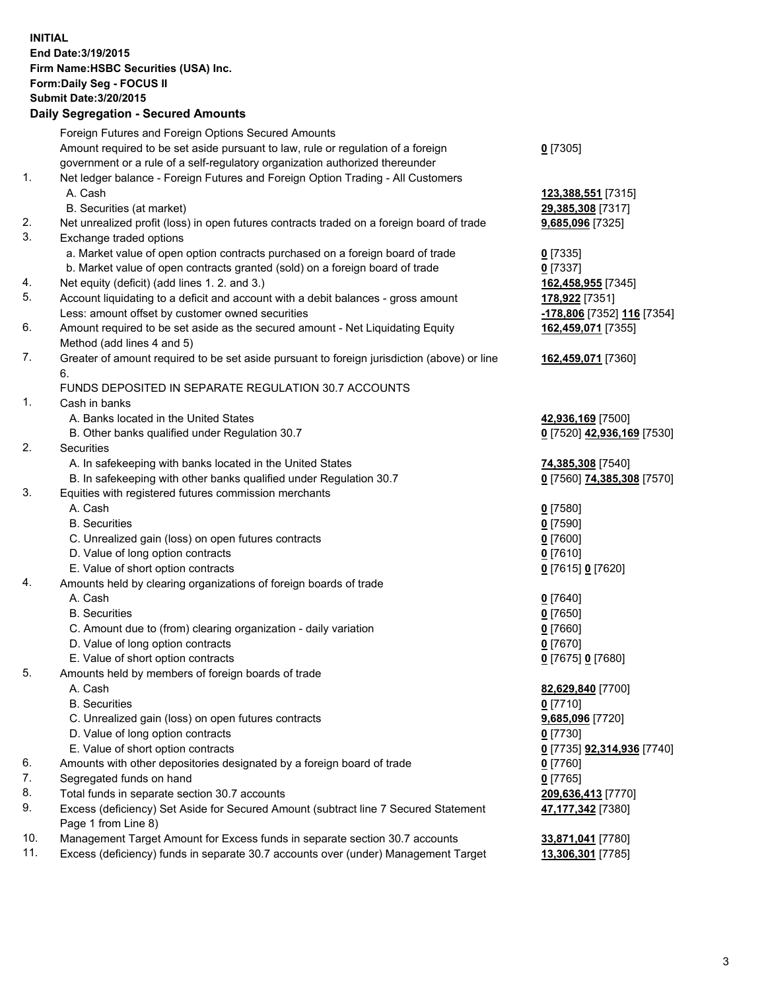**INITIAL End Date:3/19/2015 Firm Name:HSBC Securities (USA) Inc. Form:Daily Seg - FOCUS II Submit Date:3/20/2015 Daily Segregation - Secured Amounts**

Foreign Futures and Foreign Options Secured Amounts Amount required to be set aside pursuant to law, rule or regulation of a foreign government or a rule of a self-regulatory organization authorized thereunder **0** [7305] 1. Net ledger balance - Foreign Futures and Foreign Option Trading - All Customers A. Cash **123,388,551** [7315] B. Securities (at market) **29,385,308** [7317] 2. Net unrealized profit (loss) in open futures contracts traded on a foreign board of trade **9,685,096** [7325] 3. Exchange traded options a. Market value of open option contracts purchased on a foreign board of trade **0** [7335] b. Market value of open contracts granted (sold) on a foreign board of trade **0** [7337] 4. Net equity (deficit) (add lines 1. 2. and 3.) **162,458,955** [7345] 5. Account liquidating to a deficit and account with a debit balances - gross amount **178,922** [7351] Less: amount offset by customer owned securities **-178,806** [7352] **116** [7354] 6. Amount required to be set aside as the secured amount - Net Liquidating Equity Method (add lines 4 and 5) **162,459,071** [7355] 7. Greater of amount required to be set aside pursuant to foreign jurisdiction (above) or line 6. **162,459,071** [7360] FUNDS DEPOSITED IN SEPARATE REGULATION 30.7 ACCOUNTS 1. Cash in banks A. Banks located in the United States **42,936,169** [7500] B. Other banks qualified under Regulation 30.7 **0** [7520] **42,936,169** [7530] 2. Securities A. In safekeeping with banks located in the United States **74,385,308** [7540] B. In safekeeping with other banks qualified under Regulation 30.7 **0** [7560] **74,385,308** [7570] 3. Equities with registered futures commission merchants A. Cash **0** [7580] B. Securities **0** [7590] C. Unrealized gain (loss) on open futures contracts **0** [7600] D. Value of long option contracts **0** [7610] E. Value of short option contracts **0** [7615] **0** [7620] 4. Amounts held by clearing organizations of foreign boards of trade A. Cash **0** [7640] B. Securities **0** [7650] C. Amount due to (from) clearing organization - daily variation **0** [7660] D. Value of long option contracts **0** [7670] E. Value of short option contracts **0** [7675] **0** [7680] 5. Amounts held by members of foreign boards of trade A. Cash **82,629,840** [7700] B. Securities **0** [7710] C. Unrealized gain (loss) on open futures contracts **9,685,096** [7720] D. Value of long option contracts **0** [7730] E. Value of short option contracts **0** [7735] **92,314,936** [7740] 6. Amounts with other depositories designated by a foreign board of trade **0** [7760] 7. Segregated funds on hand **0** [7765] 8. Total funds in separate section 30.7 accounts **209,636,413** [7770] 9. Excess (deficiency) Set Aside for Secured Amount (subtract line 7 Secured Statement Page 1 from Line 8) **47,177,342** [7380] 10. Management Target Amount for Excess funds in separate section 30.7 accounts **33,871,041** [7780] 11. Excess (deficiency) funds in separate 30.7 accounts over (under) Management Target **13,306,301** [7785]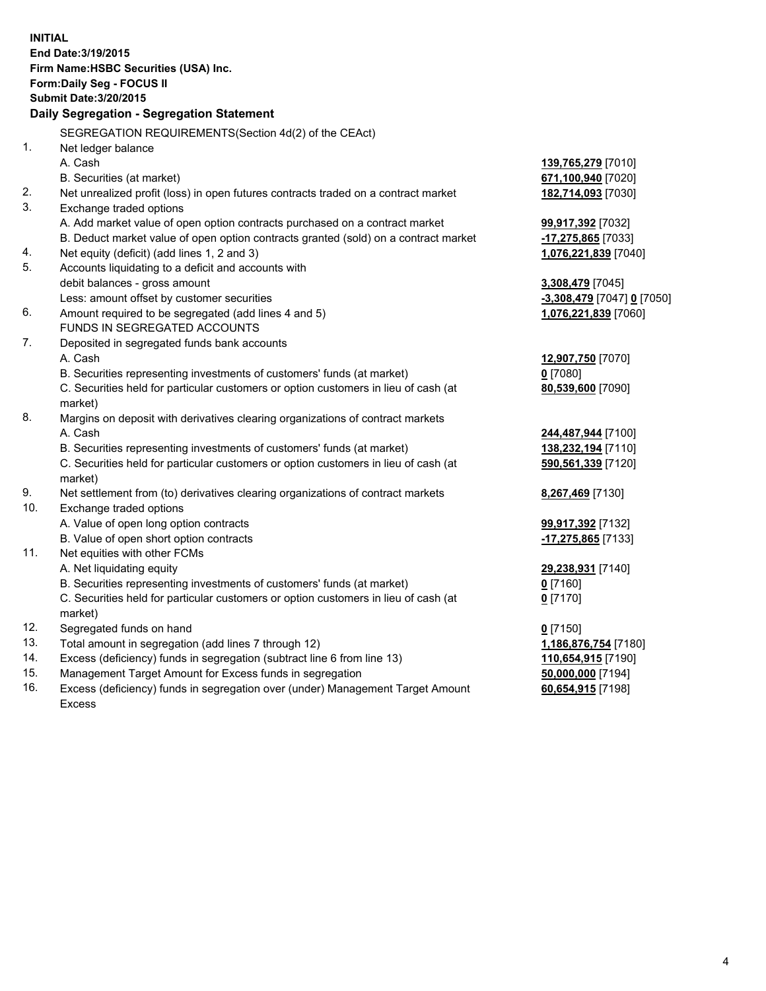|                            | <b>INITIAL</b>                                                                                 |                            |  |  |  |
|----------------------------|------------------------------------------------------------------------------------------------|----------------------------|--|--|--|
|                            | End Date: 3/19/2015                                                                            |                            |  |  |  |
|                            | Firm Name: HSBC Securities (USA) Inc.                                                          |                            |  |  |  |
| Form: Daily Seg - FOCUS II |                                                                                                |                            |  |  |  |
|                            | <b>Submit Date: 3/20/2015</b>                                                                  |                            |  |  |  |
|                            | Daily Segregation - Segregation Statement                                                      |                            |  |  |  |
|                            | SEGREGATION REQUIREMENTS(Section 4d(2) of the CEAct)                                           |                            |  |  |  |
| 1.                         | Net ledger balance                                                                             |                            |  |  |  |
|                            | A. Cash                                                                                        | 139,765,279 [7010]         |  |  |  |
|                            | B. Securities (at market)                                                                      | 671,100,940 [7020]         |  |  |  |
| 2.                         | Net unrealized profit (loss) in open futures contracts traded on a contract market             | 182,714,093 [7030]         |  |  |  |
| 3.                         | Exchange traded options                                                                        |                            |  |  |  |
|                            | A. Add market value of open option contracts purchased on a contract market                    | 99,917,392 [7032]          |  |  |  |
|                            | B. Deduct market value of open option contracts granted (sold) on a contract market            | -17,275,865 [7033]         |  |  |  |
| 4.                         | Net equity (deficit) (add lines 1, 2 and 3)                                                    | 1,076,221,839 [7040]       |  |  |  |
| 5.                         | Accounts liquidating to a deficit and accounts with                                            |                            |  |  |  |
|                            | debit balances - gross amount                                                                  | 3,308,479 [7045]           |  |  |  |
|                            | Less: amount offset by customer securities                                                     | -3,308,479 [7047] 0 [7050] |  |  |  |
| 6.                         | Amount required to be segregated (add lines 4 and 5)                                           | 1,076,221,839 [7060]       |  |  |  |
|                            | FUNDS IN SEGREGATED ACCOUNTS                                                                   |                            |  |  |  |
| 7.                         | Deposited in segregated funds bank accounts                                                    |                            |  |  |  |
|                            | A. Cash                                                                                        | 12,907,750 [7070]          |  |  |  |
|                            | B. Securities representing investments of customers' funds (at market)                         | $0$ [7080]                 |  |  |  |
|                            | C. Securities held for particular customers or option customers in lieu of cash (at            | 80,539,600 [7090]          |  |  |  |
|                            | market)                                                                                        |                            |  |  |  |
| 8.                         | Margins on deposit with derivatives clearing organizations of contract markets                 |                            |  |  |  |
|                            | A. Cash                                                                                        | 244,487,944 [7100]         |  |  |  |
|                            | B. Securities representing investments of customers' funds (at market)                         | 138,232,194 [7110]         |  |  |  |
|                            | C. Securities held for particular customers or option customers in lieu of cash (at<br>market) | 590,561,339 [7120]         |  |  |  |
| 9.                         | Net settlement from (to) derivatives clearing organizations of contract markets                | 8,267,469 [7130]           |  |  |  |
| 10.                        | Exchange traded options                                                                        |                            |  |  |  |
|                            | A. Value of open long option contracts                                                         | 99,917,392 [7132]          |  |  |  |
|                            | B. Value of open short option contracts                                                        | -17,275,865 [7133]         |  |  |  |
| 11.                        | Net equities with other FCMs                                                                   |                            |  |  |  |
|                            | A. Net liquidating equity                                                                      | 29,238,931 [7140]          |  |  |  |
|                            | B. Securities representing investments of customers' funds (at market)                         | <u>0</u> [7160]            |  |  |  |
|                            | C. Securities held for particular customers or option customers in lieu of cash (at            | $0$ [7170]                 |  |  |  |
|                            | market)                                                                                        |                            |  |  |  |
| 12.                        | Segregated funds on hand                                                                       | $0$ [7150]                 |  |  |  |
| 13.                        | Total amount in segregation (add lines 7 through 12)                                           | 1,186,876,754 [7180]       |  |  |  |
| 14.                        | Excess (deficiency) funds in segregation (subtract line 6 from line 13)                        | 110,654,915 [7190]         |  |  |  |
| 15.                        | Management Target Amount for Excess funds in segregation                                       | 50,000,000 [7194]          |  |  |  |
| 16.                        | Excess (deficiency) funds in segregation over (under) Management Target Amount                 | 60,654,915 [7198]          |  |  |  |

16. Excess (deficiency) funds in segregation over (under) Management Target Amount Excess